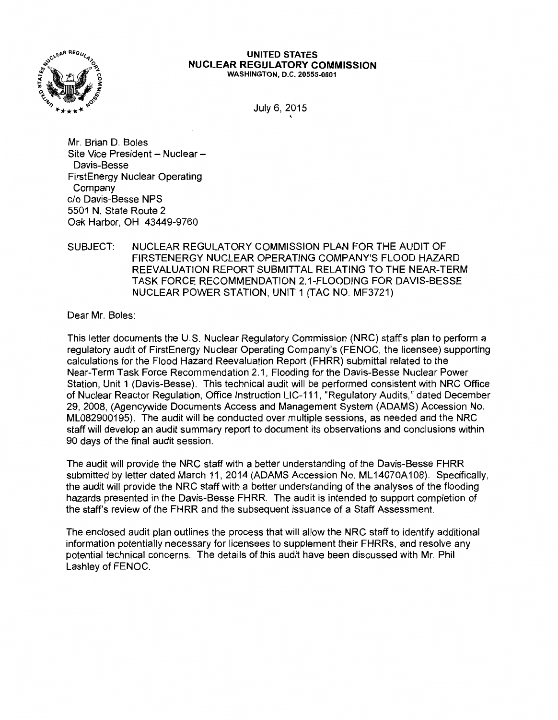

#### UNITED STATES NUCLEAR REGULATORY COMMISSION WASHINGTON, D.C. 20555-0001

July 6, 2015

'

Mr. Brian D. Boles Site Vice President - Nuclear -Davis-Besse FirstEnergy Nuclear Operating Company c/o Davis-Besse NPS 5501 N. State Route 2 Oak Harbor, OH 43449-9760

## SUBJECT: NUCLEAR REGULATORY COMMISSION PLAN FOR THE AUDIT OF FIRSTENERGY NUCLEAR OPERATING COMPANY'S FLOOD HAZARD REEVALUATION REPORT SUBMITTAL RELATING TO THE NEAR-TERM TASK FORCE RECOMMENDATION 2.1-FLOODING FOR DAVIS-BESSE NUCLEAR POWER STATION, UNIT 1 (TAC NO. MF3721)

Dear Mr. Boles:

This letter documents the U.S. Nuclear Regulatory Commission (NRC) staff's plan to perform a regulatory audit of FirstEnergy Nuclear Operating Company's (FENOC, the licensee) supporting calculations for the Flood Hazard Reevaluation Report (FHRR) submittal related to the Near-Term Task Force Recommendation 2.1, Flooding for the Davis-Besse Nuclear Power Station, Unit 1 (Davis-Besse). This technical audit will be performed consistent with NRC Office of Nuclear Reactor Regulation, Office Instruction LIC-111, "Regulatory Audits,'' dated December 29, 2008, (Agencywide Documents Access and Management System (ADAMS) Accession No. ML082900195). The audit will be conducted over multiple sessions, as needed and the NRC staff will develop an audit summary report to document its observations and conclusions within 90 days of the final audit session.

The audit will provide the NRC staff with a better understanding of the Davis-Besse FHRR submitted by letter dated March 11, 2014 (ADAMS Accession No. ML14070A108). Specifically, the audit will provide the NRC staff with a better understanding of the analyses of the flooding hazards presented in the Davis-Besse FHRR. The audit is intended to support completion of the staff's review of the FHRR and the subsequent issuance of a Staff Assessment.

The enclosed audit plan outlines the process that will allow the NRC staff to identify additional information potentially necessary for licensees to supplement their FHRRs, and resolve any potential technical concerns. The details of this audit have been discussed with Mr. Phil Lashley of FENOC.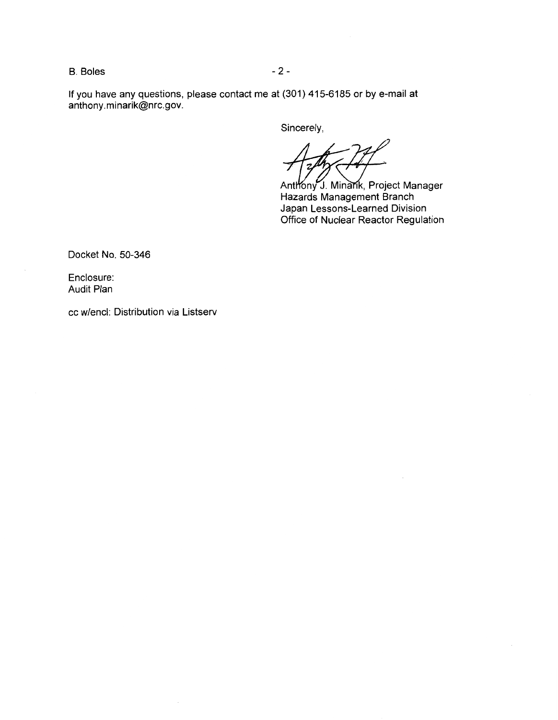B. Boles - 2 -

If you have any questions, please contact me at (301) 415-6185 or by e-mail at anthony.minarik@nrc.gov.

Sincerely,

Anthony J. Minarik, Project Manager Hazards Management Branch Japan Lessons-Learned Division Office of Nuclear Reactor Regulation

Docket No. 50-346

Enclosure: Audit Plan

cc w/encl: Distribution via Listserv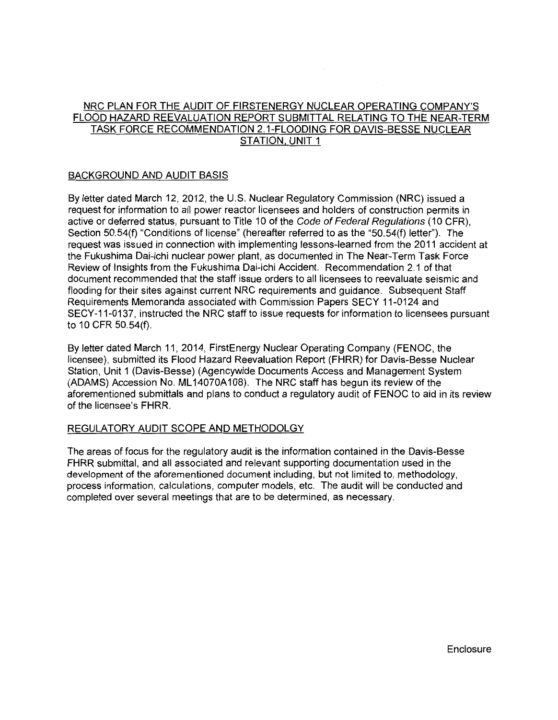# NRC PLAN FOR THE AUDIT OF FIRSTENERGY NUCLEAR OPERATING COMPANY'S FLOOD HAZARD REEVALUATION REPORT SUBMITTAL RELATING TO THE NEAR-TERM TASK FORCE RECOMMENDATION 2.1-FLOODING FOR DAVIS-BESSE NUCLEAR STATION. UNIT 1

## BACKGROUND AND AUDIT BASIS

By letter dated March 12, 2012, the U.S. Nuclear Regulatory Commission (NRC) issued a request for information to all power reactor licensees and holders of construction permits in active or deferred status, pursuant to Title 10 of the Code of Federal Regulations (10 CFR), Section 50.54(f) "Conditions of license" (hereafter referred to as the "50.54(f) letter"). The request was issued in connection with implementing lessons-learned from the 2011 accident at the Fukushima Dai-ichi nuclear power plant, as documented in The Near-Term Task Force Review of Insights from the Fukushima Dai-ichi Accident. Recommendation 2.1 of that document recommended that the staff issue orders to all licensees to reevaluate seismic and flooding for their sites against current NRC requirements and guidance. Subsequent Staff Requirements Memoranda associated with Commission Papers SECY 11-0124 and SECY-11-0137, instructed the NRC staff to issue requests for information to licensees pursuant to 10 CFR 50.54(f).

By letter dated March 11, 2014, FirstEnergy Nuclear Operating Company (FENOC, the licensee), submitted its Flood Hazard Reevaluation Report (FHRR) for Davis-Besse Nuclear Station, Unit 1 (Davis-Besse) (Agencywide Documents Access and Management System (ADAMS) Accession No. ML 14070A108). The NRC staff has begun its review of the aforementioned submittals and plans to conduct a regulatory audit of FENOC to aid in its review of the licensee's FHRR.

## REGULATORY AUDIT SCOPE AND METHODOLGY

The areas of focus for the regulatory audit is the information contained in the Davis-Besse FHRR submittal, and all associated and relevant supporting documentation used in the development of the aforementioned document including, but not limited to, methodology, process information, calculations, computer models, etc. The audit will be conducted and completed over several meetings that are to be determined, as necessary.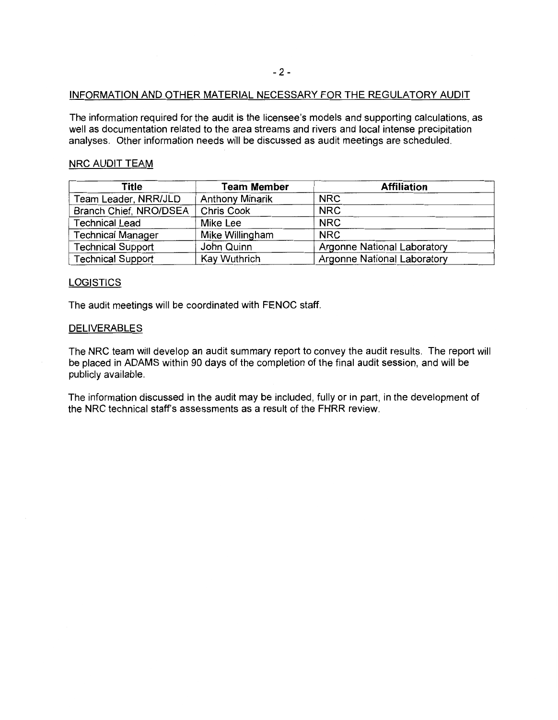### INFORMATION AND OTHER MATERIAL NECESSARY FOR THE REGULATORY AUDIT

The information required for the audit is the licensee's models and supporting calculations, as well as documentation related to the area streams and rivers and local intense precipitation analyses. Other information needs will be discussed as audit meetings are scheduled.

## NRC AUDIT TEAM

| Title                    | <b>Team Member</b>     | <b>Affiliation</b>                 |
|--------------------------|------------------------|------------------------------------|
| Team Leader, NRR/JLD     | <b>Anthony Minarik</b> | <b>NRC</b>                         |
| Branch Chief, NRO/DSEA   | Chris Cook             | <b>NRC</b>                         |
| <b>Technical Lead</b>    | Mike Lee               | <b>NRC</b>                         |
| <b>Technical Manager</b> | Mike Willingham        | <b>NRC</b>                         |
| <b>Technical Support</b> | John Quinn             | Argonne National Laboratory        |
| <b>Technical Support</b> | Kay Wuthrich           | <b>Argonne National Laboratory</b> |

## **LOGISTICS**

The audit meetings will be coordinated with FENOC staff.

## DELIVERABLES

The NRC team will develop an audit summary report to convey the audit results. The report will be placed in ADAMS within 90 days of the completion of the final audit session, and will be publicly available.

The information discussed in the audit may be included, fully or in part, in the development of the NRC technical staff's assessments as a result of the FHRR review.